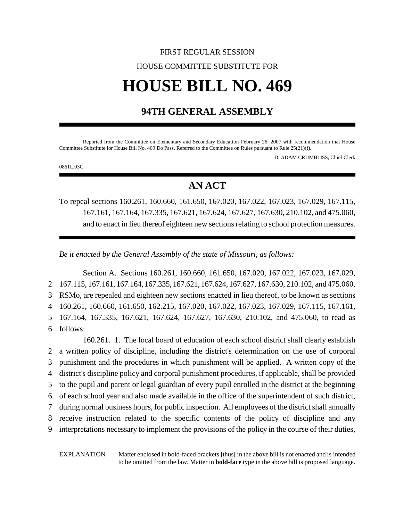# FIRST REGULAR SESSION HOUSE COMMITTEE SUBSTITUTE FOR **HOUSE BILL NO. 469**

# **94TH GENERAL ASSEMBLY**

Reported from the Committee on Elementary and Secondary Education February 26, 2007 with recommendation that House Committee Substitute for House Bill No. 469 Do Pass. Referred to the Committee on Rules pursuant to Rule 25(21)(f).

D. ADAM CRUMBLISS, Chief Clerk

0861L.03C

# **AN ACT**

To repeal sections 160.261, 160.660, 161.650, 167.020, 167.022, 167.023, 167.029, 167.115, 167.161, 167.164, 167.335, 167.621, 167.624, 167.627, 167.630, 210.102, and 475.060, and to enact in lieu thereof eighteen new sections relating to school protection measures.

*Be it enacted by the General Assembly of the state of Missouri, as follows:*

Section A. Sections 160.261, 160.660, 161.650, 167.020, 167.022, 167.023, 167.029, 167.115, 167.161, 167.164, 167.335, 167.621, 167.624, 167.627, 167.630, 210.102, and 475.060, RSMo, are repealed and eighteen new sections enacted in lieu thereof, to be known as sections 160.261, 160.660, 161.650, 162.215, 167.020, 167.022, 167.023, 167.029, 167.115, 167.161, 167.164, 167.335, 167.621, 167.624, 167.627, 167.630, 210.102, and 475.060, to read as 6 follows: 160.261. 1. The local board of education of each school district shall clearly establish a written policy of discipline, including the district's determination on the use of corporal punishment and the procedures in which punishment will be applied. A written copy of the district's discipline policy and corporal punishment procedures, if applicable, shall be provided to the pupil and parent or legal guardian of every pupil enrolled in the district at the beginning of each school year and also made available in the office of the superintendent of such district, during normal business hours, for public inspection. All employees of the district shall annually receive instruction related to the specific contents of the policy of discipline and any

9 interpretations necessary to implement the provisions of the policy in the course of their duties,

EXPLANATION — Matter enclosed in bold-faced brackets **[**thus**]** in the above bill is not enacted and is intended to be omitted from the law. Matter in **bold-face** type in the above bill is proposed language.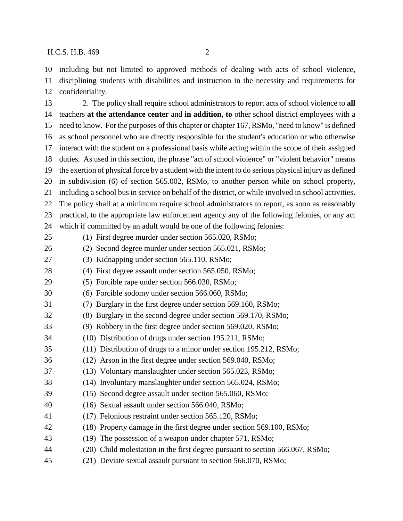including but not limited to approved methods of dealing with acts of school violence, disciplining students with disabilities and instruction in the necessity and requirements for confidentiality.

 2. The policy shall require school administrators to report acts of school violence to **all** teachers **at the attendance center** and **in addition, to** other school district employees with a need to know. For the purposes of this chapter or chapter 167, RSMo, "need to know" is defined as school personnel who are directly responsible for the student's education or who otherwise interact with the student on a professional basis while acting within the scope of their assigned duties. As used in this section, the phrase "act of school violence" or "violent behavior" means the exertion of physical force by a student with the intent to do serious physical injury as defined in subdivision (6) of section 565.002, RSMo, to another person while on school property, including a school bus in service on behalf of the district, or while involved in school activities. The policy shall at a minimum require school administrators to report, as soon as reasonably practical, to the appropriate law enforcement agency any of the following felonies, or any act which if committed by an adult would be one of the following felonies: (1) First degree murder under section 565.020, RSMo; (2) Second degree murder under section 565.021, RSMo; (3) Kidnapping under section 565.110, RSMo; (4) First degree assault under section 565.050, RSMo; (5) Forcible rape under section 566.030, RSMo; (6) Forcible sodomy under section 566.060, RSMo; (7) Burglary in the first degree under section 569.160, RSMo; (8) Burglary in the second degree under section 569.170, RSMo; (9) Robbery in the first degree under section 569.020, RSMo; (10) Distribution of drugs under section 195.211, RSMo; (11) Distribution of drugs to a minor under section 195.212, RSMo; (12) Arson in the first degree under section 569.040, RSMo; (13) Voluntary manslaughter under section 565.023, RSMo; (14) Involuntary manslaughter under section 565.024, RSMo; (15) Second degree assault under section 565.060, RSMo; (16) Sexual assault under section 566.040, RSMo; (17) Felonious restraint under section 565.120, RSMo; (18) Property damage in the first degree under section 569.100, RSMo; (19) The possession of a weapon under chapter 571, RSMo; (20) Child molestation in the first degree pursuant to section 566.067, RSMo; (21) Deviate sexual assault pursuant to section 566.070, RSMo;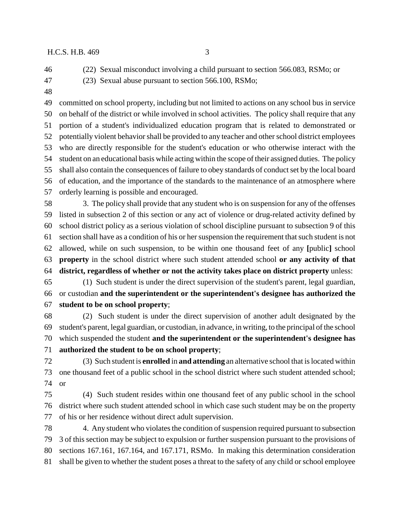(22) Sexual misconduct involving a child pursuant to section 566.083, RSMo; or

- (23) Sexual abuse pursuant to section 566.100, RSMo;
- 

 committed on school property, including but not limited to actions on any school bus in service on behalf of the district or while involved in school activities. The policy shall require that any portion of a student's individualized education program that is related to demonstrated or potentially violent behavior shall be provided to any teacher and other school district employees who are directly responsible for the student's education or who otherwise interact with the student on an educational basis while acting within the scope of their assigned duties. The policy shall also contain the consequences of failure to obey standards of conduct set by the local board of education, and the importance of the standards to the maintenance of an atmosphere where orderly learning is possible and encouraged.

 3. The policy shall provide that any student who is on suspension for any of the offenses listed in subsection 2 of this section or any act of violence or drug-related activity defined by school district policy as a serious violation of school discipline pursuant to subsection 9 of this section shall have as a condition of his or her suspension the requirement that such student is not allowed, while on such suspension, to be within one thousand feet of any **[**public**]** school **property** in the school district where such student attended school **or any activity of that district, regardless of whether or not the activity takes place on district property** unless:

 (1) Such student is under the direct supervision of the student's parent, legal guardian, or custodian **and the superintendent or the superintendent's designee has authorized the student to be on school property**;

 (2) Such student is under the direct supervision of another adult designated by the student's parent, legal guardian, or custodian, in advance, in writing, to the principal of the school which suspended the student **and the superintendent or the superintendent's designee has authorized the student to be on school property**;

 (3) Such student is **enrolled** in **and attending** an alternative school that is located within one thousand feet of a public school in the school district where such student attended school; or

 (4) Such student resides within one thousand feet of any public school in the school district where such student attended school in which case such student may be on the property of his or her residence without direct adult supervision.

 4. Any student who violates the condition of suspension required pursuant to subsection 3 of this section may be subject to expulsion or further suspension pursuant to the provisions of sections 167.161, 167.164, and 167.171, RSMo. In making this determination consideration shall be given to whether the student poses a threat to the safety of any child or school employee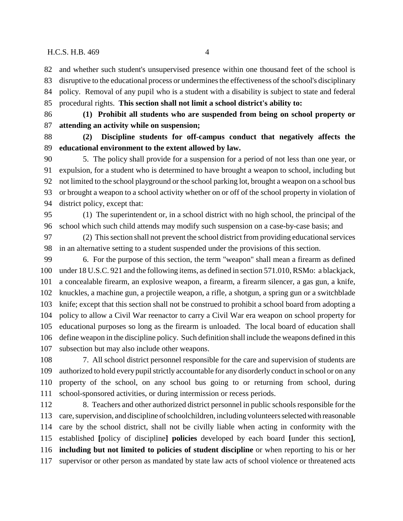and whether such student's unsupervised presence within one thousand feet of the school is

 disruptive to the educational process or undermines the effectiveness of the school's disciplinary policy. Removal of any pupil who is a student with a disability is subject to state and federal procedural rights. **This section shall not limit a school district's ability to:**

 **(1) Prohibit all students who are suspended from being on school property or attending an activity while on suspension;**

 **(2) Discipline students for off-campus conduct that negatively affects the educational environment to the extent allowed by law.**

 5. The policy shall provide for a suspension for a period of not less than one year, or expulsion, for a student who is determined to have brought a weapon to school, including but not limited to the school playground or the school parking lot, brought a weapon on a school bus or brought a weapon to a school activity whether on or off of the school property in violation of district policy, except that:

 (1) The superintendent or, in a school district with no high school, the principal of the school which such child attends may modify such suspension on a case-by-case basis; and

 (2) This section shall not prevent the school district from providing educational services in an alternative setting to a student suspended under the provisions of this section.

 6. For the purpose of this section, the term "weapon" shall mean a firearm as defined under 18 U.S.C. 921 and the following items, as defined in section 571.010, RSMo: a blackjack, a concealable firearm, an explosive weapon, a firearm, a firearm silencer, a gas gun, a knife, knuckles, a machine gun, a projectile weapon, a rifle, a shotgun, a spring gun or a switchblade knife; except that this section shall not be construed to prohibit a school board from adopting a policy to allow a Civil War reenactor to carry a Civil War era weapon on school property for educational purposes so long as the firearm is unloaded. The local board of education shall define weapon in the discipline policy. Such definition shall include the weapons defined in this subsection but may also include other weapons.

 7. All school district personnel responsible for the care and supervision of students are authorized to hold every pupil strictly accountable for any disorderly conduct in school or on any property of the school, on any school bus going to or returning from school, during school-sponsored activities, or during intermission or recess periods.

 8. Teachers and other authorized district personnel in public schools responsible for the care, supervision, and discipline of schoolchildren, including volunteers selected with reasonable care by the school district, shall not be civilly liable when acting in conformity with the established **[**policy of discipline**] policies** developed by each board **[**under this section**]**, **including but not limited to policies of student discipline** or when reporting to his or her supervisor or other person as mandated by state law acts of school violence or threatened acts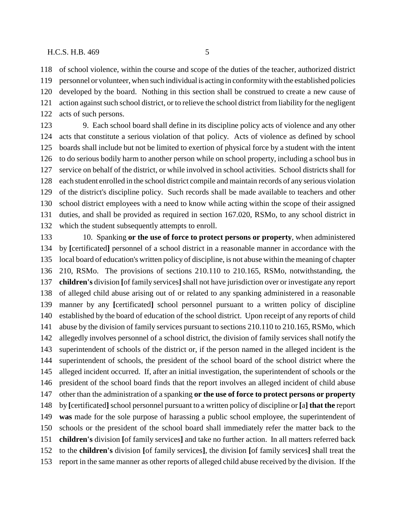of school violence, within the course and scope of the duties of the teacher, authorized district personnel or volunteer, when such individual is acting in conformity with the established policies developed by the board. Nothing in this section shall be construed to create a new cause of

 action against such school district, or to relieve the school district from liability for the negligent acts of such persons.

 9. Each school board shall define in its discipline policy acts of violence and any other acts that constitute a serious violation of that policy. Acts of violence as defined by school boards shall include but not be limited to exertion of physical force by a student with the intent to do serious bodily harm to another person while on school property, including a school bus in service on behalf of the district, or while involved in school activities. School districts shall for each student enrolled in the school district compile and maintain records of any serious violation of the district's discipline policy. Such records shall be made available to teachers and other school district employees with a need to know while acting within the scope of their assigned duties, and shall be provided as required in section 167.020, RSMo, to any school district in which the student subsequently attempts to enroll.

 10. Spanking **or the use of force to protect persons or property**, when administered by **[**certificated**]** personnel of a school district in a reasonable manner in accordance with the local board of education's written policy of discipline, is not abuse within the meaning of chapter 210, RSMo. The provisions of sections 210.110 to 210.165, RSMo, notwithstanding, the **children's** division **[**of family services**]** shall not have jurisdiction over or investigate any report of alleged child abuse arising out of or related to any spanking administered in a reasonable manner by any **[**certificated**]** school personnel pursuant to a written policy of discipline established by the board of education of the school district. Upon receipt of any reports of child abuse by the division of family services pursuant to sections 210.110 to 210.165, RSMo, which allegedly involves personnel of a school district, the division of family services shall notify the superintendent of schools of the district or, if the person named in the alleged incident is the superintendent of schools, the president of the school board of the school district where the alleged incident occurred. If, after an initial investigation, the superintendent of schools or the president of the school board finds that the report involves an alleged incident of child abuse other than the administration of a spanking **or the use of force to protect persons or property** by **[**certificated**]** school personnel pursuant to a written policy of discipline or **[**a**] that the** report **was** made for the sole purpose of harassing a public school employee, the superintendent of schools or the president of the school board shall immediately refer the matter back to the **children's** division **[**of family services**]** and take no further action. In all matters referred back to the **children's** division **[**of family services**]**, the division **[**of family services**]** shall treat the report in the same manner as other reports of alleged child abuse received by the division. If the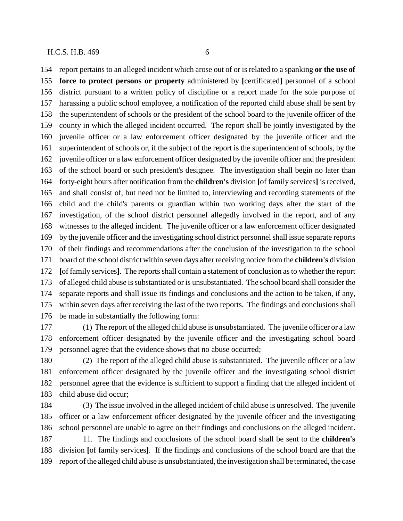report pertains to an alleged incident which arose out of or is related to a spanking **or the use of force to protect persons or property** administered by **[**certificated**]** personnel of a school district pursuant to a written policy of discipline or a report made for the sole purpose of harassing a public school employee, a notification of the reported child abuse shall be sent by the superintendent of schools or the president of the school board to the juvenile officer of the county in which the alleged incident occurred. The report shall be jointly investigated by the juvenile officer or a law enforcement officer designated by the juvenile officer and the superintendent of schools or, if the subject of the report is the superintendent of schools, by the juvenile officer or a law enforcement officer designated by the juvenile officer and the president of the school board or such president's designee. The investigation shall begin no later than forty-eight hours after notification from the **children's** division **[**of family services**]** is received, and shall consist of, but need not be limited to, interviewing and recording statements of the child and the child's parents or guardian within two working days after the start of the investigation, of the school district personnel allegedly involved in the report, and of any witnesses to the alleged incident. The juvenile officer or a law enforcement officer designated by the juvenile officer and the investigating school district personnel shall issue separate reports of their findings and recommendations after the conclusion of the investigation to the school board of the school district within seven days after receiving notice from the **children's** division **[**of family services**]**. The reports shall contain a statement of conclusion as to whether the report of alleged child abuse is substantiated or is unsubstantiated. The school board shall consider the separate reports and shall issue its findings and conclusions and the action to be taken, if any, within seven days after receiving the last of the two reports. The findings and conclusions shall be made in substantially the following form:

 (1) The report of the alleged child abuse is unsubstantiated. The juvenile officer or a law enforcement officer designated by the juvenile officer and the investigating school board personnel agree that the evidence shows that no abuse occurred;

 (2) The report of the alleged child abuse is substantiated. The juvenile officer or a law enforcement officer designated by the juvenile officer and the investigating school district personnel agree that the evidence is sufficient to support a finding that the alleged incident of child abuse did occur;

 (3) The issue involved in the alleged incident of child abuse is unresolved. The juvenile officer or a law enforcement officer designated by the juvenile officer and the investigating school personnel are unable to agree on their findings and conclusions on the alleged incident.

 11. The findings and conclusions of the school board shall be sent to the **children's** division **[**of family services**]**. If the findings and conclusions of the school board are that the report of the alleged child abuse is unsubstantiated, the investigation shall be terminated, the case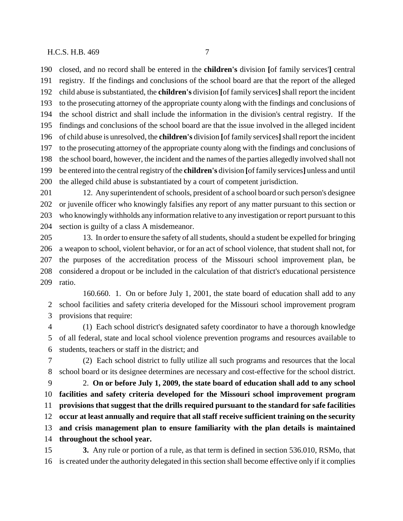closed, and no record shall be entered in the **children's** division **[**of family services'**]** central registry. If the findings and conclusions of the school board are that the report of the alleged child abuse is substantiated, the **children's** division **[**of family services**]** shall report the incident to the prosecuting attorney of the appropriate county along with the findings and conclusions of the school district and shall include the information in the division's central registry. If the findings and conclusions of the school board are that the issue involved in the alleged incident of child abuse is unresolved, the **children's** division **[**of family services**]** shall report the incident to the prosecuting attorney of the appropriate county along with the findings and conclusions of the school board, however, the incident and the names of the parties allegedly involved shall not be entered into the central registry of the **children's** division **[**of family services**]** unless and until the alleged child abuse is substantiated by a court of competent jurisdiction.

 12. Any superintendent of schools, president of a school board or such person's designee or juvenile officer who knowingly falsifies any report of any matter pursuant to this section or who knowingly withholds any information relative to any investigation or report pursuant to this section is guilty of a class A misdemeanor.

 13. In order to ensure the safety of all students, should a student be expelled for bringing a weapon to school, violent behavior, or for an act of school violence, that student shall not, for the purposes of the accreditation process of the Missouri school improvement plan, be considered a dropout or be included in the calculation of that district's educational persistence ratio.

160.660. 1. On or before July 1, 2001, the state board of education shall add to any school facilities and safety criteria developed for the Missouri school improvement program provisions that require:

 (1) Each school district's designated safety coordinator to have a thorough knowledge of all federal, state and local school violence prevention programs and resources available to students, teachers or staff in the district; and

 (2) Each school district to fully utilize all such programs and resources that the local school board or its designee determines are necessary and cost-effective for the school district.

 2. **On or before July 1, 2009, the state board of education shall add to any school facilities and safety criteria developed for the Missouri school improvement program provisions that suggest that the drills required pursuant to the standard for safe facilities occur at least annually and require that all staff receive sufficient training on the security and crisis management plan to ensure familiarity with the plan details is maintained throughout the school year.**

 **3.** Any rule or portion of a rule, as that term is defined in section 536.010, RSMo, that is created under the authority delegated in this section shall become effective only if it complies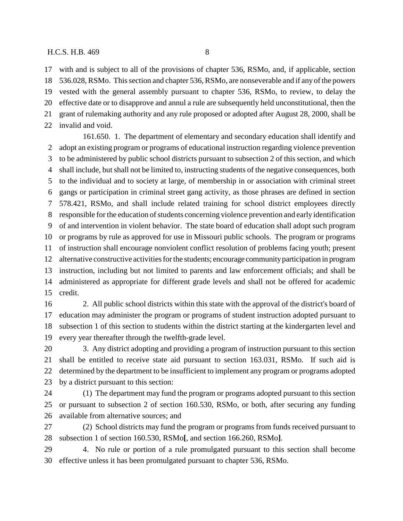with and is subject to all of the provisions of chapter 536, RSMo, and, if applicable, section 536.028, RSMo. This section and chapter 536, RSMo, are nonseverable and if any of the powers vested with the general assembly pursuant to chapter 536, RSMo, to review, to delay the effective date or to disapprove and annul a rule are subsequently held unconstitutional, then the grant of rulemaking authority and any rule proposed or adopted after August 28, 2000, shall be invalid and void.

161.650. 1. The department of elementary and secondary education shall identify and adopt an existing program or programs of educational instruction regarding violence prevention to be administered by public school districts pursuant to subsection 2 of this section, and which shall include, but shall not be limited to, instructing students of the negative consequences, both to the individual and to society at large, of membership in or association with criminal street gangs or participation in criminal street gang activity, as those phrases are defined in section 578.421, RSMo, and shall include related training for school district employees directly responsible for the education of students concerning violence prevention and early identification of and intervention in violent behavior. The state board of education shall adopt such program or programs by rule as approved for use in Missouri public schools. The program or programs of instruction shall encourage nonviolent conflict resolution of problems facing youth; present alternative constructive activities for the students; encourage community participation in program instruction, including but not limited to parents and law enforcement officials; and shall be administered as appropriate for different grade levels and shall not be offered for academic credit.

 2. All public school districts within this state with the approval of the district's board of education may administer the program or programs of student instruction adopted pursuant to subsection 1 of this section to students within the district starting at the kindergarten level and every year thereafter through the twelfth-grade level.

 3. Any district adopting and providing a program of instruction pursuant to this section shall be entitled to receive state aid pursuant to section 163.031, RSMo. If such aid is determined by the department to be insufficient to implement any program or programs adopted by a district pursuant to this section:

 (1) The department may fund the program or programs adopted pursuant to this section or pursuant to subsection 2 of section 160.530, RSMo, or both, after securing any funding available from alternative sources; and

 (2) School districts may fund the program or programs from funds received pursuant to subsection 1 of section 160.530, RSMo**[**, and section 166.260, RSMo**]**.

 4. No rule or portion of a rule promulgated pursuant to this section shall become effective unless it has been promulgated pursuant to chapter 536, RSMo.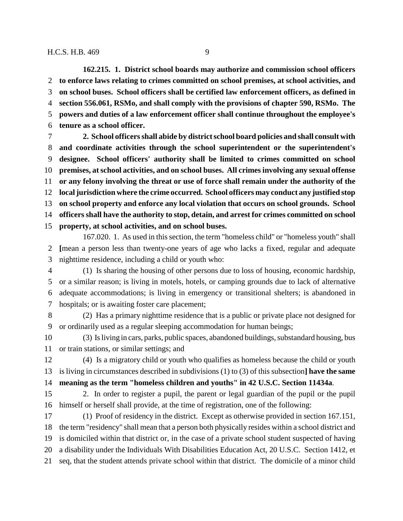**162.215. 1. District school boards may authorize and commission school officers to enforce laws relating to crimes committed on school premises, at school activities, and on school buses. School officers shall be certified law enforcement officers, as defined in section 556.061, RSMo, and shall comply with the provisions of chapter 590, RSMo. The powers and duties of a law enforcement officer shall continue throughout the employee's tenure as a school officer.**

 **2. School officers shall abide by district school board policies and shall consult with and coordinate activities through the school superintendent or the superintendent's designee. School officers' authority shall be limited to crimes committed on school premises, at school activities, and on school buses. All crimes involving any sexual offense or any felony involving the threat or use of force shall remain under the authority of the local jurisdiction where the crime occurred. School officers may conduct any justified stop on school property and enforce any local violation that occurs on school grounds. School officers shall have the authority to stop, detain, and arrest for crimes committed on school property, at school activities, and on school buses.**

167.020. 1. As used in this section, the term "homeless child" or "homeless youth" shall **[**mean a person less than twenty-one years of age who lacks a fixed, regular and adequate nighttime residence, including a child or youth who:

 (1) Is sharing the housing of other persons due to loss of housing, economic hardship, or a similar reason; is living in motels, hotels, or camping grounds due to lack of alternative adequate accommodations; is living in emergency or transitional shelters; is abandoned in hospitals; or is awaiting foster care placement;

 (2) Has a primary nighttime residence that is a public or private place not designed for or ordinarily used as a regular sleeping accommodation for human beings;

 (3) Is living in cars, parks, public spaces, abandoned buildings, substandard housing, bus or train stations, or similar settings; and

 (4) Is a migratory child or youth who qualifies as homeless because the child or youth is living in circumstances described in subdivisions (1) to (3) of this subsection**] have the same meaning as the term "homeless children and youths" in 42 U.S.C. Section 11434a**.

 2. In order to register a pupil, the parent or legal guardian of the pupil or the pupil himself or herself shall provide, at the time of registration, one of the following:

 (1) Proof of residency in the district. Except as otherwise provided in section 167.151, the term "residency" shall mean that a person both physically resides within a school district and is domiciled within that district or, in the case of a private school student suspected of having a disability under the Individuals With Disabilities Education Act, 20 U.S.C. Section 1412, et seq, that the student attends private school within that district. The domicile of a minor child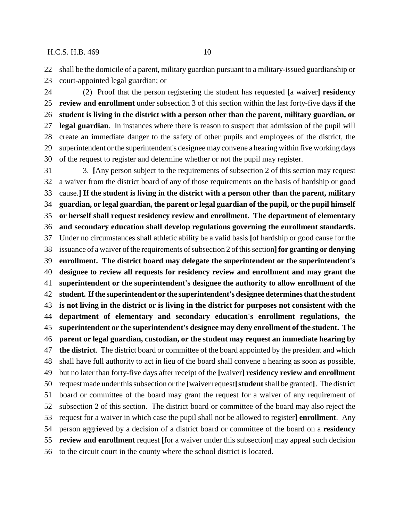shall be the domicile of a parent, military guardian pursuant to a military-issued guardianship or

court-appointed legal guardian; or

 (2) Proof that the person registering the student has requested **[**a waiver**] residency review and enrollment** under subsection 3 of this section within the last forty-five days **if the student is living in the district with a person other than the parent, military guardian, or legal guardian**. In instances where there is reason to suspect that admission of the pupil will create an immediate danger to the safety of other pupils and employees of the district, the superintendent or the superintendent's designee may convene a hearing within five working days of the request to register and determine whether or not the pupil may register.

 3. **[**Any person subject to the requirements of subsection 2 of this section may request a waiver from the district board of any of those requirements on the basis of hardship or good cause.**] If the student is living in the district with a person other than the parent, military guardian, or legal guardian, the parent or legal guardian of the pupil, or the pupil himself or herself shall request residency review and enrollment. The department of elementary and secondary education shall develop regulations governing the enrollment standards.** Under no circumstances shall athletic ability be a valid basis **[**of hardship or good cause for the issuance of a waiver of the requirements of subsection 2 of this section**]for granting or denying enrollment. The district board may delegate the superintendent or the superintendent's designee to review all requests for residency review and enrollment and may grant the superintendent or the superintendent's designee the authority to allow enrollment of the student. If the superintendent or the superintendent's designee determines that the student is not living in the district or is living in the district for purposes not consistent with the department of elementary and secondary education's enrollment regulations, the superintendent or the superintendent's designee may deny enrollment of the student. The parent or legal guardian, custodian, or the student may request an immediate hearing by the district**. The district board or committee of the board appointed by the president and which shall have full authority to act in lieu of the board shall convene a hearing as soon as possible, but no later than forty-five days after receipt of the **[**waiver**] residency review and enrollment** request made under this subsection or the **[**waiver request**]student** shall be granted**[**. The district board or committee of the board may grant the request for a waiver of any requirement of subsection 2 of this section. The district board or committee of the board may also reject the request for a waiver in which case the pupil shall not be allowed to register**] enrollment**. Any person aggrieved by a decision of a district board or committee of the board on a **residency review and enrollment** request **[**for a waiver under this subsection**]** may appeal such decision to the circuit court in the county where the school district is located.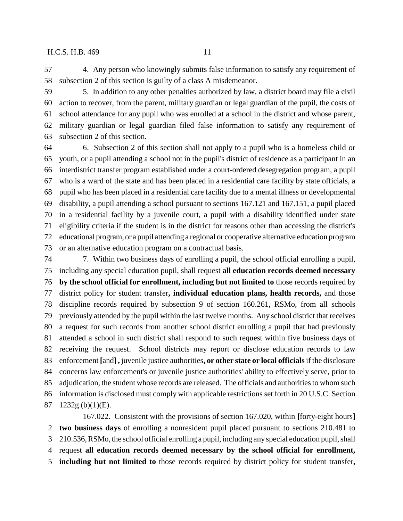4. Any person who knowingly submits false information to satisfy any requirement of subsection 2 of this section is guilty of a class A misdemeanor.

 5. In addition to any other penalties authorized by law, a district board may file a civil action to recover, from the parent, military guardian or legal guardian of the pupil, the costs of school attendance for any pupil who was enrolled at a school in the district and whose parent, military guardian or legal guardian filed false information to satisfy any requirement of subsection 2 of this section.

 6. Subsection 2 of this section shall not apply to a pupil who is a homeless child or youth, or a pupil attending a school not in the pupil's district of residence as a participant in an interdistrict transfer program established under a court-ordered desegregation program, a pupil who is a ward of the state and has been placed in a residential care facility by state officials, a pupil who has been placed in a residential care facility due to a mental illness or developmental disability, a pupil attending a school pursuant to sections 167.121 and 167.151, a pupil placed in a residential facility by a juvenile court, a pupil with a disability identified under state eligibility criteria if the student is in the district for reasons other than accessing the district's educational program, or a pupil attending a regional or cooperative alternative education program or an alternative education program on a contractual basis.

 7. Within two business days of enrolling a pupil, the school official enrolling a pupil, including any special education pupil, shall request **all education records deemed necessary by the school official for enrollment, including but not limited to** those records required by district policy for student transfer**, individual education plans, health records,** and those discipline records required by subsection 9 of section 160.261, RSMo, from all schools previously attended by the pupil within the last twelve months. Any school district that receives a request for such records from another school district enrolling a pupil that had previously attended a school in such district shall respond to such request within five business days of receiving the request. School districts may report or disclose education records to law enforcement **[**and**] ,** juvenile justice authorities**, or other state or local officials** if the disclosure concerns law enforcement's or juvenile justice authorities' ability to effectively serve, prior to adjudication, the student whose records are released. The officials and authorities to whom such information is disclosed must comply with applicable restrictions set forth in 20 U.S.C. Section 1232g (b)(1)(E).

167.022. Consistent with the provisions of section 167.020, within **[**forty-eight hours**] two business days** of enrolling a nonresident pupil placed pursuant to sections 210.481 to 210.536, RSMo, the school official enrolling a pupil, including any special education pupil, shall request **all education records deemed necessary by the school official for enrollment, including but not limited to** those records required by district policy for student transfer**,**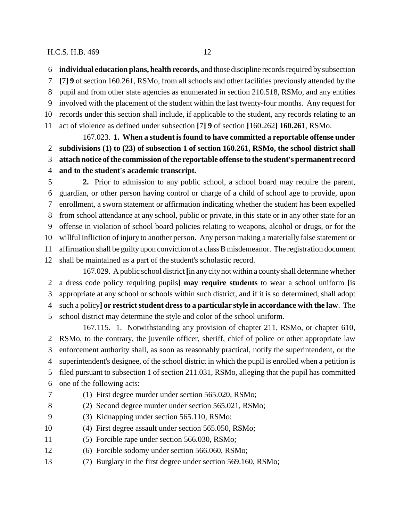**individual education plans, health records,** and those discipline records required by subsection

**[**7**] 9** of section 160.261, RSMo, from all schools and other facilities previously attended by the

pupil and from other state agencies as enumerated in section 210.518, RSMo, and any entities

involved with the placement of the student within the last twenty-four months. Any request for

 records under this section shall include, if applicable to the student, any records relating to an act of violence as defined under subsection **[**7**] 9** of section **[**160.262**] 160.261**, RSMo.

167.023. **1. When a student is found to have committed a reportable offense under subdivisions (1) to (23) of subsection 1 of section 160.261, RSMo, the school district shall attach notice of the commission of the reportable offense to the student's permanent record and to the student's academic transcript.**

 **2.** Prior to admission to any public school, a school board may require the parent, guardian, or other person having control or charge of a child of school age to provide, upon enrollment, a sworn statement or affirmation indicating whether the student has been expelled from school attendance at any school, public or private, in this state or in any other state for an offense in violation of school board policies relating to weapons, alcohol or drugs, or for the willful infliction of injury to another person. Any person making a materially false statement or affirmation shall be guilty upon conviction of a class B misdemeanor. The registration document shall be maintained as a part of the student's scholastic record.

167.029. A public school district **[**in any city not within a county shall determine whether a dress code policy requiring pupils**] may require students** to wear a school uniform **[**is appropriate at any school or schools within such district, and if it is so determined, shall adopt such a policy**] or restrict student dress to a particular style in accordance with the law**. The school district may determine the style and color of the school uniform.

167.115. 1. Notwithstanding any provision of chapter 211, RSMo, or chapter 610, RSMo, to the contrary, the juvenile officer, sheriff, chief of police or other appropriate law enforcement authority shall, as soon as reasonably practical, notify the superintendent, or the superintendent's designee, of the school district in which the pupil is enrolled when a petition is filed pursuant to subsection 1 of section 211.031, RSMo, alleging that the pupil has committed one of the following acts:

- (1) First degree murder under section 565.020, RSMo;
- (2) Second degree murder under section 565.021, RSMo;
- (3) Kidnapping under section 565.110, RSMo;
- (4) First degree assault under section 565.050, RSMo;
- (5) Forcible rape under section 566.030, RSMo;
- (6) Forcible sodomy under section 566.060, RSMo;
- (7) Burglary in the first degree under section 569.160, RSMo;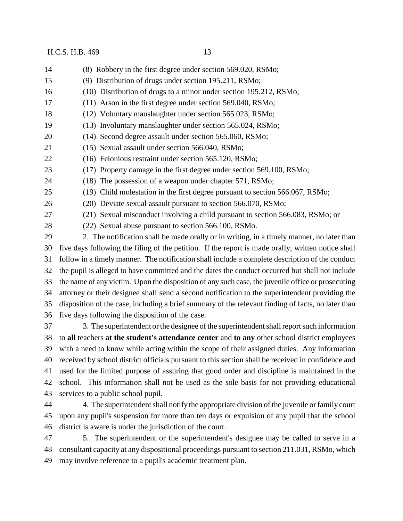(8) Robbery in the first degree under section 569.020, RSMo; (9) Distribution of drugs under section 195.211, RSMo; (10) Distribution of drugs to a minor under section 195.212, RSMo; (11) Arson in the first degree under section 569.040, RSMo; (12) Voluntary manslaughter under section 565.023, RSMo; (13) Involuntary manslaughter under section 565.024, RSMo; (14) Second degree assault under section 565.060, RSMo; (15) Sexual assault under section 566.040, RSMo; (16) Felonious restraint under section 565.120, RSMo; (17) Property damage in the first degree under section 569.100, RSMo; (18) The possession of a weapon under chapter 571, RSMo; (19) Child molestation in the first degree pursuant to section 566.067, RSMo; (20) Deviate sexual assault pursuant to section 566.070, RSMo; (21) Sexual misconduct involving a child pursuant to section 566.083, RSMo; or (22) Sexual abuse pursuant to section 566.100, RSMo. 2. The notification shall be made orally or in writing, in a timely manner, no later than five days following the filing of the petition. If the report is made orally, written notice shall follow in a timely manner. The notification shall include a complete description of the conduct the pupil is alleged to have committed and the dates the conduct occurred but shall not include the name of any victim. Upon the disposition of any such case, the juvenile office or prosecuting attorney or their designee shall send a second notification to the superintendent providing the disposition of the case, including a brief summary of the relevant finding of facts, no later than five days following the disposition of the case. 3. The superintendent or the designee of the superintendent shall report such information to **all** teachers **at the student's attendance center** and **to any** other school district employees with a need to know while acting within the scope of their assigned duties. Any information received by school district officials pursuant to this section shall be received in confidence and used for the limited purpose of assuring that good order and discipline is maintained in the school. This information shall not be used as the sole basis for not providing educational services to a public school pupil. 4. The superintendent shall notify the appropriate division of the juvenile or family court upon any pupil's suspension for more than ten days or expulsion of any pupil that the school district is aware is under the jurisdiction of the court.

 5. The superintendent or the superintendent's designee may be called to serve in a consultant capacity at any dispositional proceedings pursuant to section 211.031, RSMo, which may involve reference to a pupil's academic treatment plan.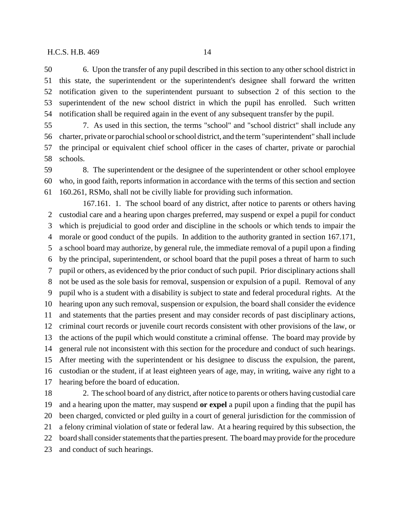notification given to the superintendent pursuant to subsection 2 of this section to the superintendent of the new school district in which the pupil has enrolled. Such written notification shall be required again in the event of any subsequent transfer by the pupil.

 7. As used in this section, the terms "school" and "school district" shall include any charter, private or parochial school or school district, and the term "superintendent" shall include the principal or equivalent chief school officer in the cases of charter, private or parochial schools.

 8. The superintendent or the designee of the superintendent or other school employee who, in good faith, reports information in accordance with the terms of this section and section 160.261, RSMo, shall not be civilly liable for providing such information.

167.161. 1. The school board of any district, after notice to parents or others having custodial care and a hearing upon charges preferred, may suspend or expel a pupil for conduct which is prejudicial to good order and discipline in the schools or which tends to impair the morale or good conduct of the pupils. In addition to the authority granted in section 167.171, a school board may authorize, by general rule, the immediate removal of a pupil upon a finding by the principal, superintendent, or school board that the pupil poses a threat of harm to such pupil or others, as evidenced by the prior conduct of such pupil. Prior disciplinary actions shall not be used as the sole basis for removal, suspension or expulsion of a pupil. Removal of any pupil who is a student with a disability is subject to state and federal procedural rights. At the hearing upon any such removal, suspension or expulsion, the board shall consider the evidence and statements that the parties present and may consider records of past disciplinary actions, criminal court records or juvenile court records consistent with other provisions of the law, or the actions of the pupil which would constitute a criminal offense. The board may provide by general rule not inconsistent with this section for the procedure and conduct of such hearings. After meeting with the superintendent or his designee to discuss the expulsion, the parent, custodian or the student, if at least eighteen years of age, may, in writing, waive any right to a hearing before the board of education.

 2. The school board of any district, after notice to parents or others having custodial care and a hearing upon the matter, may suspend **or expel** a pupil upon a finding that the pupil has been charged, convicted or pled guilty in a court of general jurisdiction for the commission of a felony criminal violation of state or federal law. At a hearing required by this subsection, the board shall consider statements that the parties present. The board may provide for the procedure and conduct of such hearings.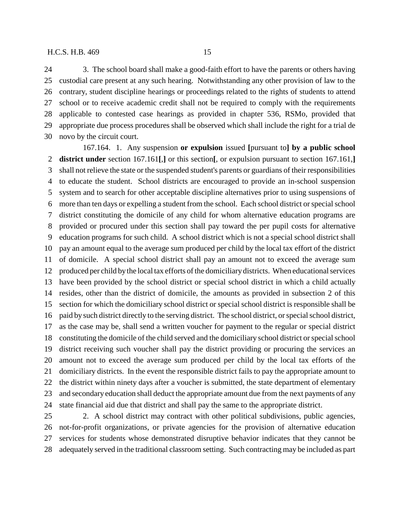3. The school board shall make a good-faith effort to have the parents or others having custodial care present at any such hearing. Notwithstanding any other provision of law to the contrary, student discipline hearings or proceedings related to the rights of students to attend school or to receive academic credit shall not be required to comply with the requirements applicable to contested case hearings as provided in chapter 536, RSMo, provided that appropriate due process procedures shall be observed which shall include the right for a trial de novo by the circuit court.

167.164. 1. Any suspension **or expulsion** issued **[**pursuant to**] by a public school district under** section 167.161**[**,**]** or this section**[**, or expulsion pursuant to section 167.161,**]** shall not relieve the state or the suspended student's parents or guardians of their responsibilities to educate the student. School districts are encouraged to provide an in-school suspension system and to search for other acceptable discipline alternatives prior to using suspensions of more than ten days or expelling a student from the school. Each school district or special school district constituting the domicile of any child for whom alternative education programs are provided or procured under this section shall pay toward the per pupil costs for alternative education programs for such child. A school district which is not a special school district shall pay an amount equal to the average sum produced per child by the local tax effort of the district of domicile. A special school district shall pay an amount not to exceed the average sum produced per child by the local tax efforts of the domiciliary districts. When educational services have been provided by the school district or special school district in which a child actually resides, other than the district of domicile, the amounts as provided in subsection 2 of this section for which the domiciliary school district or special school district is responsible shall be paid by such district directly to the serving district. The school district, or special school district, as the case may be, shall send a written voucher for payment to the regular or special district constituting the domicile of the child served and the domiciliary school district or special school district receiving such voucher shall pay the district providing or procuring the services an amount not to exceed the average sum produced per child by the local tax efforts of the domiciliary districts. In the event the responsible district fails to pay the appropriate amount to the district within ninety days after a voucher is submitted, the state department of elementary and secondary education shall deduct the appropriate amount due from the next payments of any state financial aid due that district and shall pay the same to the appropriate district.

 2. A school district may contract with other political subdivisions, public agencies, not-for-profit organizations, or private agencies for the provision of alternative education services for students whose demonstrated disruptive behavior indicates that they cannot be adequately served in the traditional classroom setting. Such contracting may be included as part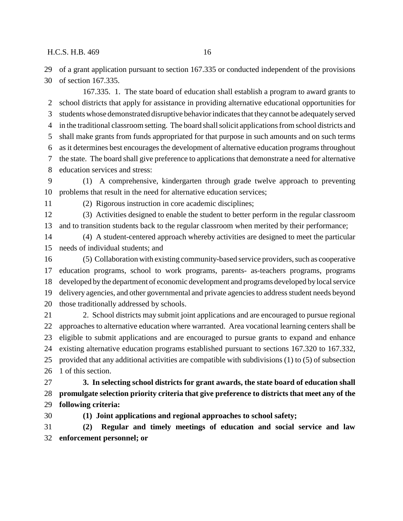of a grant application pursuant to section 167.335 or conducted independent of the provisions of section 167.335.

167.335. 1. The state board of education shall establish a program to award grants to school districts that apply for assistance in providing alternative educational opportunities for students whose demonstrated disruptive behavior indicates that they cannot be adequately served in the traditional classroom setting. The board shall solicit applications from school districts and shall make grants from funds appropriated for that purpose in such amounts and on such terms as it determines best encourages the development of alternative education programs throughout the state. The board shall give preference to applications that demonstrate a need for alternative education services and stress: (1) A comprehensive, kindergarten through grade twelve approach to preventing

problems that result in the need for alternative education services;

(2) Rigorous instruction in core academic disciplines;

 (3) Activities designed to enable the student to better perform in the regular classroom and to transition students back to the regular classroom when merited by their performance;

 (4) A student-centered approach whereby activities are designed to meet the particular needs of individual students; and

 (5) Collaboration with existing community-based service providers, such as cooperative education programs, school to work programs, parents- as-teachers programs, programs developed by the department of economic development and programs developed by local service delivery agencies, and other governmental and private agencies to address student needs beyond those traditionally addressed by schools.

 2. School districts may submit joint applications and are encouraged to pursue regional approaches to alternative education where warranted. Area vocational learning centers shall be eligible to submit applications and are encouraged to pursue grants to expand and enhance existing alternative education programs established pursuant to sections 167.320 to 167.332, provided that any additional activities are compatible with subdivisions (1) to (5) of subsection 1 of this section.

 **3. In selecting school districts for grant awards, the state board of education shall promulgate selection priority criteria that give preference to districts that meet any of the following criteria:**

**(1) Joint applications and regional approaches to school safety;**

 **(2) Regular and timely meetings of education and social service and law enforcement personnel; or**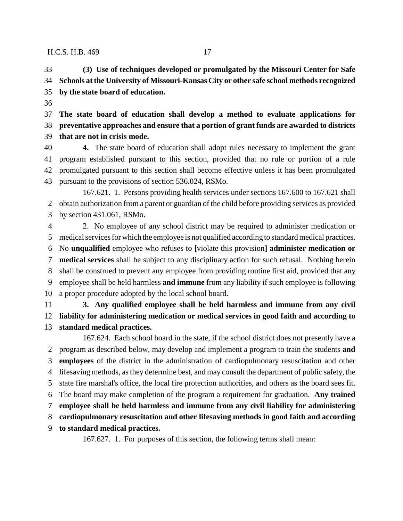**(3) Use of techniques developed or promulgated by the Missouri Center for Safe Schools at the University of Missouri-Kansas City or other safe school methods recognized by the state board of education.**

 **The state board of education shall develop a method to evaluate applications for preventative approaches and ensure that a portion of grant funds are awarded to districts that are not in crisis mode.**

 **4.** The state board of education shall adopt rules necessary to implement the grant program established pursuant to this section, provided that no rule or portion of a rule promulgated pursuant to this section shall become effective unless it has been promulgated pursuant to the provisions of section 536.024, RSMo.

167.621. 1. Persons providing health services under sections 167.600 to 167.621 shall obtain authorization from a parent or guardian of the child before providing services as provided by section 431.061, RSMo.

 2. No employee of any school district may be required to administer medication or medical services for which the employee is not qualified according to standard medical practices. No **unqualified** employee who refuses to **[**violate this provision**] administer medication or medical services** shall be subject to any disciplinary action for such refusal. Nothing herein shall be construed to prevent any employee from providing routine first aid, provided that any employee shall be held harmless **and immune** from any liability if such employee is following a proper procedure adopted by the local school board.

 **3. Any qualified employee shall be held harmless and immune from any civil liability for administering medication or medical services in good faith and according to standard medical practices.**

167.624. Each school board in the state, if the school district does not presently have a program as described below, may develop and implement a program to train the students **and employees** of the district in the administration of cardiopulmonary resuscitation and other lifesaving methods, as they determine best, and may consult the department of public safety, the state fire marshal's office, the local fire protection authorities, and others as the board sees fit. The board may make completion of the program a requirement for graduation. **Any trained employee shall be held harmless and immune from any civil liability for administering cardiopulmonary resuscitation and other lifesaving methods in good faith and according to standard medical practices.**

167.627. 1. For purposes of this section, the following terms shall mean: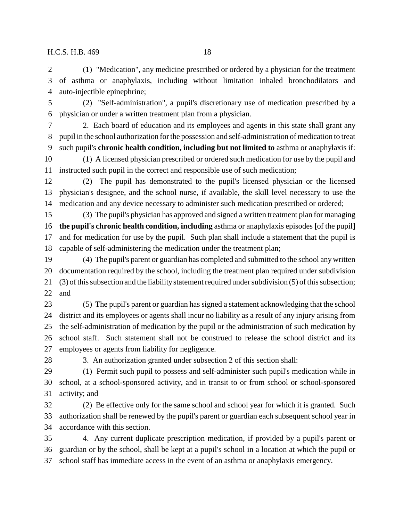(1) "Medication", any medicine prescribed or ordered by a physician for the treatment of asthma or anaphylaxis, including without limitation inhaled bronchodilators and auto-injectible epinephrine;

 (2) "Self-administration", a pupil's discretionary use of medication prescribed by a physician or under a written treatment plan from a physician.

 2. Each board of education and its employees and agents in this state shall grant any pupil in the school authorization for the possession and self-administration of medication to treat such pupil's **chronic health condition, including but not limited to** asthma or anaphylaxis if: (1) A licensed physician prescribed or ordered such medication for use by the pupil and instructed such pupil in the correct and responsible use of such medication;

 (2) The pupil has demonstrated to the pupil's licensed physician or the licensed physician's designee, and the school nurse, if available, the skill level necessary to use the medication and any device necessary to administer such medication prescribed or ordered;

 (3) The pupil's physician has approved and signed a written treatment plan for managing **the pupil's chronic health condition, including** asthma or anaphylaxis episodes **[**of the pupil**]** and for medication for use by the pupil. Such plan shall include a statement that the pupil is capable of self-administering the medication under the treatment plan;

 (4) The pupil's parent or guardian has completed and submitted to the school any written documentation required by the school, including the treatment plan required under subdivision (3) of this subsection and the liability statement required under subdivision (5) of this subsection; and

 (5) The pupil's parent or guardian has signed a statement acknowledging that the school district and its employees or agents shall incur no liability as a result of any injury arising from the self-administration of medication by the pupil or the administration of such medication by school staff. Such statement shall not be construed to release the school district and its employees or agents from liability for negligence.

3. An authorization granted under subsection 2 of this section shall:

 (1) Permit such pupil to possess and self-administer such pupil's medication while in school, at a school-sponsored activity, and in transit to or from school or school-sponsored activity; and

 (2) Be effective only for the same school and school year for which it is granted. Such authorization shall be renewed by the pupil's parent or guardian each subsequent school year in accordance with this section.

 4. Any current duplicate prescription medication, if provided by a pupil's parent or guardian or by the school, shall be kept at a pupil's school in a location at which the pupil or school staff has immediate access in the event of an asthma or anaphylaxis emergency.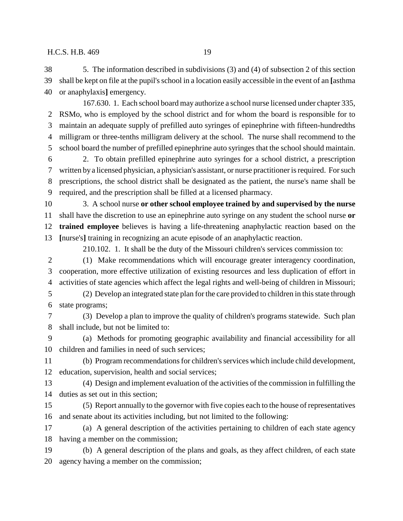5. The information described in subdivisions (3) and (4) of subsection 2 of this section shall be kept on file at the pupil's school in a location easily accessible in the event of an **[**asthma or anaphylaxis**]** emergency.

167.630. 1. Each school board may authorize a school nurse licensed under chapter 335, RSMo, who is employed by the school district and for whom the board is responsible for to maintain an adequate supply of prefilled auto syringes of epinephrine with fifteen-hundredths milligram or three-tenths milligram delivery at the school. The nurse shall recommend to the school board the number of prefilled epinephrine auto syringes that the school should maintain.

 2. To obtain prefilled epinephrine auto syringes for a school district, a prescription written by a licensed physician, a physician's assistant, or nurse practitioner is required. For such prescriptions, the school district shall be designated as the patient, the nurse's name shall be required, and the prescription shall be filled at a licensed pharmacy.

 3. A school nurse **or other school employee trained by and supervised by the nurse** shall have the discretion to use an epinephrine auto syringe on any student the school nurse **or trained employee** believes is having a life-threatening anaphylactic reaction based on the **[**nurse's**]** training in recognizing an acute episode of an anaphylactic reaction.

210.102. 1. It shall be the duty of the Missouri children's services commission to:

 (1) Make recommendations which will encourage greater interagency coordination, cooperation, more effective utilization of existing resources and less duplication of effort in activities of state agencies which affect the legal rights and well-being of children in Missouri;

 (2) Develop an integrated state plan for the care provided to children in this state through state programs;

 (3) Develop a plan to improve the quality of children's programs statewide. Such plan shall include, but not be limited to:

 (a) Methods for promoting geographic availability and financial accessibility for all children and families in need of such services;

 (b) Program recommendations for children's services which include child development, education, supervision, health and social services;

 (4) Design and implement evaluation of the activities of the commission in fulfilling the duties as set out in this section;

 (5) Report annually to the governor with five copies each to the house of representatives and senate about its activities including, but not limited to the following:

 (a) A general description of the activities pertaining to children of each state agency having a member on the commission;

 (b) A general description of the plans and goals, as they affect children, of each state agency having a member on the commission;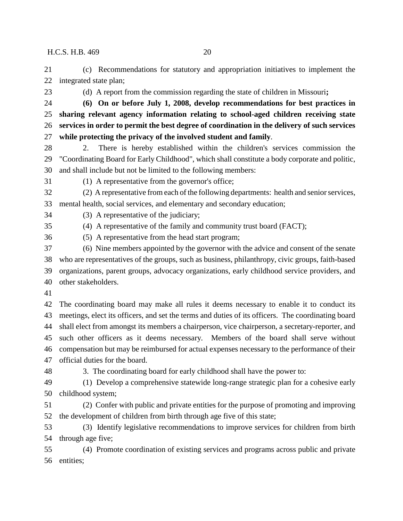(c) Recommendations for statutory and appropriation initiatives to implement the integrated state plan;

(d) A report from the commission regarding the state of children in Missouri**;**

- **(6) On or before July 1, 2008, develop recommendations for best practices in sharing relevant agency information relating to school-aged children receiving state services in order to permit the best degree of coordination in the delivery of such services while protecting the privacy of the involved student and family**.
- 2. There is hereby established within the children's services commission the "Coordinating Board for Early Childhood", which shall constitute a body corporate and politic, and shall include but not be limited to the following members:
- (1) A representative from the governor's office;
- (2) A representative from each of the following departments: health and senior services, mental health, social services, and elementary and secondary education;
- (3) A representative of the judiciary;
- (4) A representative of the family and community trust board (FACT);
- 
- (5) A representative from the head start program;
- (6) Nine members appointed by the governor with the advice and consent of the senate who are representatives of the groups, such as business, philanthropy, civic groups, faith-based organizations, parent groups, advocacy organizations, early childhood service providers, and other stakeholders.
- 

 The coordinating board may make all rules it deems necessary to enable it to conduct its meetings, elect its officers, and set the terms and duties of its officers. The coordinating board shall elect from amongst its members a chairperson, vice chairperson, a secretary-reporter, and such other officers as it deems necessary. Members of the board shall serve without compensation but may be reimbursed for actual expenses necessary to the performance of their official duties for the board.

- 
- 3. The coordinating board for early childhood shall have the power to:

 (1) Develop a comprehensive statewide long-range strategic plan for a cohesive early childhood system;

 (2) Confer with public and private entities for the purpose of promoting and improving the development of children from birth through age five of this state;

 (3) Identify legislative recommendations to improve services for children from birth through age five;

 (4) Promote coordination of existing services and programs across public and private entities;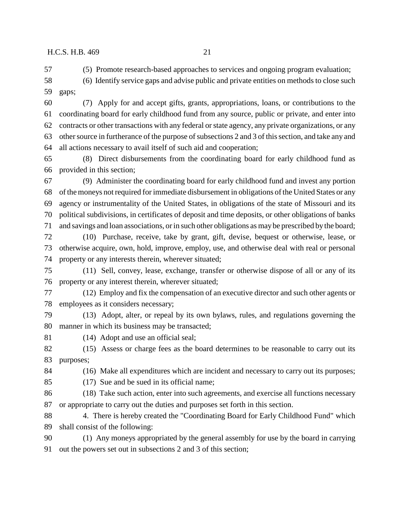(5) Promote research-based approaches to services and ongoing program evaluation;

 (6) Identify service gaps and advise public and private entities on methods to close such gaps;

 (7) Apply for and accept gifts, grants, appropriations, loans, or contributions to the coordinating board for early childhood fund from any source, public or private, and enter into contracts or other transactions with any federal or state agency, any private organizations, or any other source in furtherance of the purpose of subsections 2 and 3 of this section, and take any and all actions necessary to avail itself of such aid and cooperation;

 (8) Direct disbursements from the coordinating board for early childhood fund as provided in this section;

 (9) Administer the coordinating board for early childhood fund and invest any portion of the moneys not required for immediate disbursement in obligations of the United States or any agency or instrumentality of the United States, in obligations of the state of Missouri and its political subdivisions, in certificates of deposit and time deposits, or other obligations of banks and savings and loan associations, or in such other obligations as may be prescribed by the board;

 (10) Purchase, receive, take by grant, gift, devise, bequest or otherwise, lease, or otherwise acquire, own, hold, improve, employ, use, and otherwise deal with real or personal property or any interests therein, wherever situated;

 (11) Sell, convey, lease, exchange, transfer or otherwise dispose of all or any of its property or any interest therein, wherever situated;

 (12) Employ and fix the compensation of an executive director and such other agents or employees as it considers necessary;

 (13) Adopt, alter, or repeal by its own bylaws, rules, and regulations governing the manner in which its business may be transacted;

(14) Adopt and use an official seal;

 (15) Assess or charge fees as the board determines to be reasonable to carry out its purposes;

(16) Make all expenditures which are incident and necessary to carry out its purposes;

(17) Sue and be sued in its official name;

(18) Take such action, enter into such agreements, and exercise all functions necessary

or appropriate to carry out the duties and purposes set forth in this section.

 4. There is hereby created the "Coordinating Board for Early Childhood Fund" which shall consist of the following:

 (1) Any moneys appropriated by the general assembly for use by the board in carrying out the powers set out in subsections 2 and 3 of this section;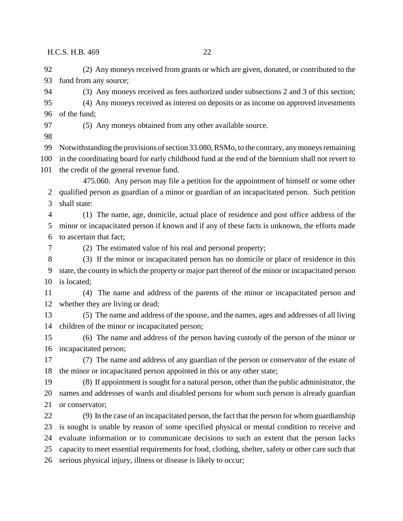(2) Any moneys received from grants or which are given, donated, or contributed to the fund from any source;

(3) Any moneys received as fees authorized under subsections 2 and 3 of this section;

 (4) Any moneys received as interest on deposits or as income on approved investments of the fund;

(5) Any moneys obtained from any other available source.

Notwithstanding the provisions of section 33.080, RSMo, to the contrary, any moneys remaining

 in the coordinating board for early childhood fund at the end of the biennium shall not revert to the credit of the general revenue fund.

475.060. Any person may file a petition for the appointment of himself or some other qualified person as guardian of a minor or guardian of an incapacitated person. Such petition shall state:

 (1) The name, age, domicile, actual place of residence and post office address of the minor or incapacitated person if known and if any of these facts is unknown, the efforts made to ascertain that fact;

(2) The estimated value of his real and personal property;

 (3) If the minor or incapacitated person has no domicile or place of residence in this state, the county in which the property or major part thereof of the minor or incapacitated person is located;

 (4) The name and address of the parents of the minor or incapacitated person and whether they are living or dead;

 (5) The name and address of the spouse, and the names, ages and addresses of all living children of the minor or incapacitated person;

 (6) The name and address of the person having custody of the person of the minor or incapacitated person;

 (7) The name and address of any guardian of the person or conservator of the estate of the minor or incapacitated person appointed in this or any other state;

 (8) If appointment is sought for a natural person, other than the public administrator, the names and addresses of wards and disabled persons for whom such person is already guardian or conservator;

 (9) In the case of an incapacitated person, the fact that the person for whom guardianship is sought is unable by reason of some specified physical or mental condition to receive and evaluate information or to communicate decisions to such an extent that the person lacks capacity to meet essential requirements for food, clothing, shelter, safety or other care such that serious physical injury, illness or disease is likely to occur;